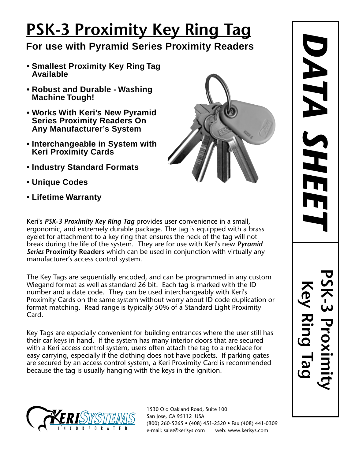## **PSK-3 Proximity Key Ring Tag**

## **For use with Pyramid Series Proximity Readers**

- **Smallest Proximity Key Ring Tag Available**
- **Robust and Durable Washing Machine Tough!**
- **Works With Keri's New Pyramid Series Proximity Readers On Any Manufacturer's System**
- **Interchangeable in System with Keri Proximity Cards**
- **Industry Standard Formats**
- **Unique Codes**
- **Lifetime Warranty**



Keri's *PSK-3 Proximity Key Ring Tag* provides user convenience in a small, ergonomic, and extremely durable package. The tag is equipped with a brass eyelet for attachment to a key ring that ensures the neck of the tag will not break during the life of the system. They are for use with Keri's new *Pyramid Series* **Proximity Readers** which can be used in conjunction with virtually any manufacturer's access control system.

The Key Tags are sequentially encoded, and can be programmed in any custom Wiegand format as well as standard 26 bit. Each tag is marked with the ID number and a date code. They can be used interchangeably with Keri's Proximity Cards on the same system without worry about ID code duplication or format matching. Read range is typically 50% of a Standard Light Proximity Card.

Key Tags are especially convenient for building entrances where the user still has their car keys in hand. If the system has many interior doors that are secured with a Keri access control system, users often attach the tag to a necklace for easy carrying, especially if the clothing does not have pockets. If parking gates are secured by an access control system, a Keri Proximity Card is recommended because the tag is usually hanging with the keys in the ignition.



1530 Old Oakland Road, Suite 100 San Jose, CA 95112 USA (800) 260-5265 • (408) 451-2520 • Fax (408) 441-0309 e-mail: sales@kerisys.com web: www.kerisys.com